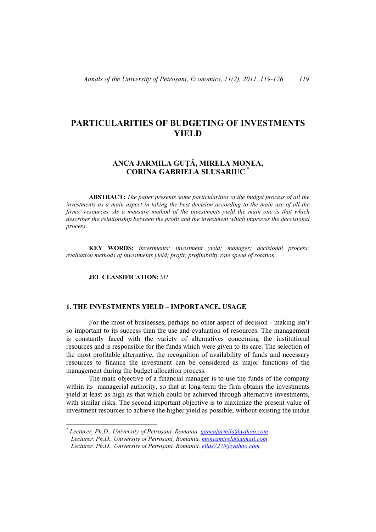# **PARTICULARITIES OF BUDGETING OF INVESTMENTS YIELD**

# **ANCA JARMILA GUŢĂ, MIRELA MONEA, CORINA GABRIELA SLUSARIUC** \*

**ABSTRACT:** *The paper presents some particularities of the budget process of all the investments as a main aspect in taking the best decision according to the main use of all the firms' resources. As a measure method of the investments yield the main one is that which describes the relationship between the profit and the investment which improves the deccisional process.* 

 **KEY WORDS:** *investments; investment yield; manager; decisional process; evaluation methods of investments yield; profit; profitability rate speed of rotation.* 

#### **JEL CLASSIFICATION:** *M1.*

l

#### **1. THE INVESTMENTS YIELD – IMPORTANCE, USAGE**

For the most of businesses, perhaps no other aspect of decision - making isn't so important to its success than the use and evaluation of resources. The management is constantly faced with the variety of alternatives concerning the institutional resources and is responsible for the funds which were given to its care. The selection of the most profitable alternative, the recognition of availability of funds and necessary resources to finance the investment can be considered as major functions of the management during the budget allocation process.

The main objective of a financial manager is to use the funds of the company within its managerial authority, so that at long-term the firm obtains the investments yield at least as high as that which could be achieved through alternative investments, with similar risks. The second important objective is to maximize the present value of investment resources to achieve the higher yield as possible, without existing the undue

<sup>\*</sup> *Lecturer, Ph.D., University of Petroşani, Romania, gancajarmila@yahoo.com Lecturer, Ph.D., University of Petroşani, Romania, moneamirela@gmail.com Lecturer, Ph.D., University of Petroşani, Romania, ellas7275@yahoo.com*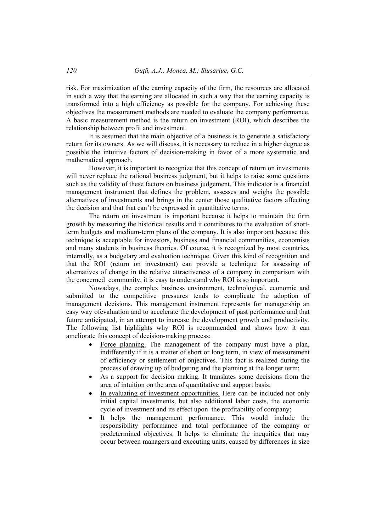risk. For maximization of the earning capacity of the firm, the resources are allocated in such a way that the earning are allocated in such a way that the earning capacity is transformed into a high efficiency as possible for the company. For achieving these objectives the measurement methods are needed to evaluate the company performance. A basic measurement method is the return on investment (ROI), which describes the relationship between profit and investment.

It is assumed that the main objective of a business is to generate a satisfactory return for its owners. As we will discuss, it is necessary to reduce in a higher degree as possible the intuitive factors of decision-making in favor of a more systematic and mathematical approach.

However, it is important to recognize that this concept of return on investments will never replace the rational business judgment, but it helps to raise some questions such as the validity of these factors on business judgement. This indicator is a financial management instrument that defines the problem, assesses and weighs the possible alternatives of investments and brings in the center those qualitative factors affecting the decision and that that can't be expressed in quantitative terms.

 The return on investment is important because it helps to maintain the firm growth by measuring the historical results and it contributes to the evaluation of shortterm budgets and medium-term plans of the company. It is also important because this technique is acceptable for investors, business and financial communities, economists and many students in business theories. Of course, it is recognized by most countries, internally, as a budgetary and evaluation technique. Given this kind of recognition and that the ROI (return on investment) can provide a technique for assessing of alternatives of change in the relative attractiveness of a company in comparison with the concerned community, it is easy to understand why ROI is so important.

Nowadays, the complex business environment, technological, economic and submitted to the competitive pressures tends to complicate the adoption of management decisions. This management instrument represents for managership an easy way ofevaluation and to accelerate the development of past performance and that future anticipated, in an attempt to increase the development growth and productivity. The following list highlights why ROI is recommended and shows how it can ameliorate this concept of decision-making process:

- Force planning. The management of the company must have a plan, indifferently if it is a matter of short or long term, in view of measurement of efficiency or settlement of onjectives. This fact is realized during the process of drawing up of budgeting and the planning at the longer term;
- As a support for decision making. It translates some decisions from the area of intuition on the area of quantitative and support basis;
- In evaluating of investment opportunities. Here can be included not only initial capital investments, but also additional labor costs, the economic cycle of investment and its effect upon the profitability of company;
- It helps the management performance. This would include the responsibility performance and total performance of the company or predetermined objectives. It helps to eliminate the inequities that may occur between managers and executing units, caused by differences in size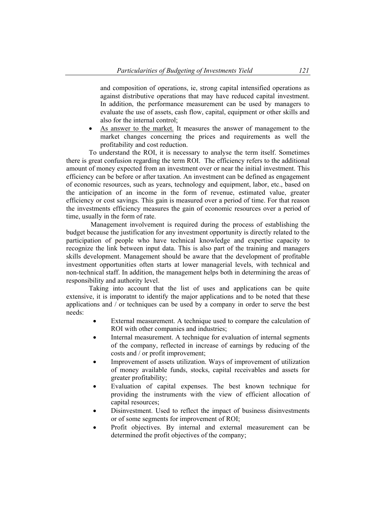and composition of operations, ie, strong capital intensified operations as against distributive operations that may have reduced capital investment. In addition, the performance measurement can be used by managers to evaluate the use of assets, cash flow, capital, equipment or other skills and also for the internal control;

 As answer to the market. It measures the answer of management to the market changes concerning the prices and requirements as well the profitability and cost reduction.

To understand the ROI, it is necessary to analyse the term itself. Sometimes there is great confusion regarding the term ROI. The efficiency refers to the additional amount of money expected from an investment over or near the initial investment. This efficiency can be before or after taxation. An investment can be defined as engagement of economic resources, such as years, technology and equipment, labor, etc., based on the anticipation of an income in the form of revenue, estimated value, greater efficiency or cost savings. This gain is measured over a period of time. For that reason the investments efficiency measures the gain of economic resources over a period of time, usually in the form of rate.

 Management involvement is required during the process of establishing the budget because the justification for any investment opportunity is directly related to the participation of people who have technical knowledge and expertise capacity to recognize the link between input data. This is also part of the training and managers skills development. Management should be aware that the development of profitable investment opportunities often starts at lower managerial levels, with technical and non-technical staff. In addition, the management helps both in determining the areas of responsibility and authority level.

Taking into account that the list of uses and applications can be quite extensive, it is imporatnt to identify the major applications and to be noted that these applications and / or techniques can be used by a company in order to serve the best needs:

- External measurement. A technique used to compare the calculation of ROI with other companies and industries;
- Internal measurement. A technique for evaluation of internal segments of the company, reflected in increase of earnings by reducing of the costs and / or profit improvement;
- Improvement of assets utilization. Ways of improvement of utilization of money available funds, stocks, capital receivables and assets for greater profitability;
- Evaluation of capital expenses. The best known technique for providing the instruments with the view of efficient allocation of capital resources;
- Disinvestment. Used to reflect the impact of business disinvestments or of some segments for improvement of ROI;
- Profit objectives. By internal and external measurement can be determined the profit objectives of the company;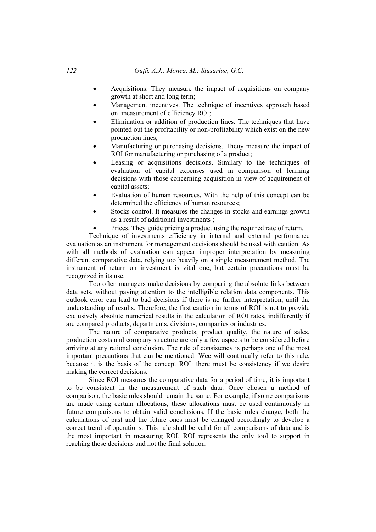- Acquisitions. They measure the impact of acquisitions on company growth at short and long term;
- Management incentives. The technique of incentives approach based on measurement of efficiency ROI;
- Elimination or addition of production lines. The techniques that have pointed out the profitability or non-profitability which exist on the new production lines;
- Manufacturing or purchasing decisions. Theuy measure the impact of ROI for manufacturing or purchasing of a product;
- Leasing or acquisitions decisions. Similary to the techniques of evaluation of capital expenses used in comparison of learning decisions with those concerning acquisition in view of acquirement of capital assets;
- Evaluation of human resources. With the help of this concept can be determined the efficiency of human resources;
- Stocks control. It measures the changes in stocks and earnings growth as a result of additional investments ;
- Prices. They guide pricing a product using the required rate of return.

 Technique of investments efficiency in internal and external performance evaluation as an instrument for management decisions should be used with caution. As with all methods of evaluation can appear improper interpretation by measuring different comparative data, relying too heavily on a single measurement method. The instrument of return on investment is vital one, but certain precautions must be recognized in its use.

 Too often managers make decisions by comparing the absolute links between data sets, without paying attention to the intelligible relation data components. This outlook error can lead to bad decisions if there is no further interpretation, until the understanding of results. Therefore, the first caution in terms of ROI is not to provide exclusively absolute numerical results in the calculation of ROI rates, indifferently if are compared products, departments, divisions, companies or industries.

 The nature of comparative products, product quality, the nature of sales, production costs and company structure are only a few aspects to be considered before arriving at any rational conclusion. The rule of consistency is perhaps one of the most important precautions that can be mentioned. Wee will continually refer to this rule, because it is the basis of the concept ROI: there must be consistency if we desire making the correct decisions.

 Since ROI measures the comparative data for a period of time, it is important to be consistent in the measurement of such data. Once chosen a method of comparison, the basic rules should remain the same. For example, if some comparisons are made using certain allocations, these allocations must be used continuously in future comparisons to obtain valid conclusions. If the basic rules change, both the calculations of past and the future ones must be changed accordingly to develop a correct trend of operations. This rule shall be valid for all comparisons of data and is the most important in measuring ROI. ROI represents the only tool to support in reaching these decisions and not the final solution.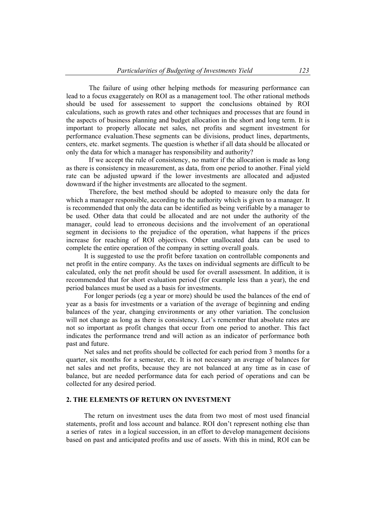The failure of using other helping methods for measuring performance can lead to a focus exaggerately on ROI as a management tool. The other rational methods should be used for assessement to support the conclusions obtained by ROI calculations, such as growth rates and other techniques and processes that are found in the aspects of business planning and budget allocation in the short and long term. It is important to properly allocate net sales, net profits and segment investment for performance evaluation.These segments can be divisions, product lines, departments, centers, etc. market segments. The question is whether if all data should be allocated or only the data for which a manager has responsibility and authority?

 If we accept the rule of consistency, no matter if the allocation is made as long as there is consistency in measurement, as data, from one period to another. Final yield rate can be adjusted upward if the lower investments are allocated and adjusted downward if the higher investments are allocated to the segment.

 Therefore, the best method should be adopted to measure only the data for which a manager responsible, according to the authority which is given to a manager. It is recommended that only the data can be identified as being verifiable by a manager to be used. Other data that could be allocated and are not under the authority of the manager, could lead to erroneous decisions and the involvement of an operational segment in decisions to the prejudice of the operation, what happens if the prices increase for reaching of ROI objectives. Other unallocated data can be used to complete the entire operation of the company in setting overall goals.

It is suggested to use the profit before taxation on controllable components and net profit in the entire company. As the taxes on individual segments are difficult to be calculated, only the net profit should be used for overall assessment. In addition, it is recommended that for short evaluation period (for example less than a year), the end period balances must be used as a basis for investments.

For longer periods (eg a year or more) should be used the balances of the end of year as a basis for investments or a variation of the average of beginning and ending balances of the year, changing environments or any other variation. The conclusion will not change as long as there is consistency. Let's remember that absolute rates are not so important as profit changes that occur from one period to another. This fact indicates the performance trend and will action as an indicator of performance both past and future.

Net sales and net profits should be collected for each period from 3 months for a quarter, six months for a semester, etc. It is not necessary an average of balances for net sales and net profits, because they are not balanced at any time as in case of balance, but are needed performance data for each period of operations and can be collected for any desired period.

#### **2. THE ELEMENTS OF RETURN ON INVESTMENT**

The return on investment uses the data from two most of most used financial statements, profit and loss account and balance. ROI don't represent nothing else than a series of rates in a logical succession, in an effort to develop management decisions based on past and anticipated profits and use of assets. With this in mind, ROI can be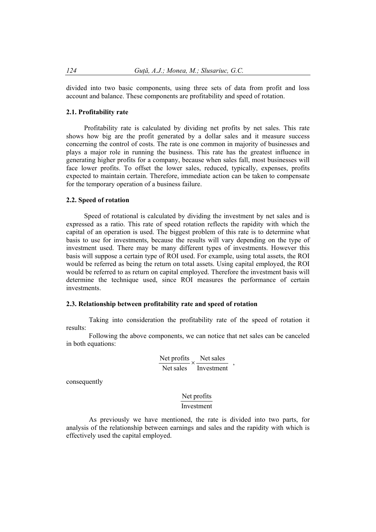divided into two basic components, using three sets of data from profit and loss account and balance. These components are profitability and speed of rotation.

#### **2.1. Profitability rate**

Profitability rate is calculated by dividing net profits by net sales. This rate shows how big are the profit generated by a dollar sales and it measure success concerning the control of costs. The rate is one common in majority of businesses and plays a major role in running the business. This rate has the greatest influence in generating higher profits for a company, because when sales fall, most businesses will face lower profits. To offset the lower sales, reduced, typically, expenses, profits expected to maintain certain. Therefore, immediate action can be taken to compensate for the temporary operation of a business failure.

#### **2.2. Speed of rotation**

Speed of rotational is calculated by dividing the investment by net sales and is expressed as a ratio. This rate of speed rotation reflects the rapidity with which the capital of an operation is used. The biggest problem of this rate is to determine what basis to use for investments, because the results will vary depending on the type of investment used. There may be many different types of investments. However this basis will suppose a certain type of ROI used. For example, using total assets, the ROI would be referred as being the return on total assets. Using capital employed, the ROI would be referred to as return on capital employed. Therefore the investment basis will determine the technique used, since ROI measures the performance of certain investments.

# **2.3. Relationship between profitability rate and speed of rotation**

 Taking into consideration the profitability rate of the speed of rotation it results:

 Following the above components, we can notice that net sales can be canceled in both equations:

$$
\frac{\text{Net profits}}{\text{Net sales}} \times \frac{\text{Net sales}}{\text{Investment}}
$$

consequently

# Investment Net profits

 As previously we have mentioned, the rate is divided into two parts, for analysis of the relationship between earnings and sales and the rapidity with which is effectively used the capital employed.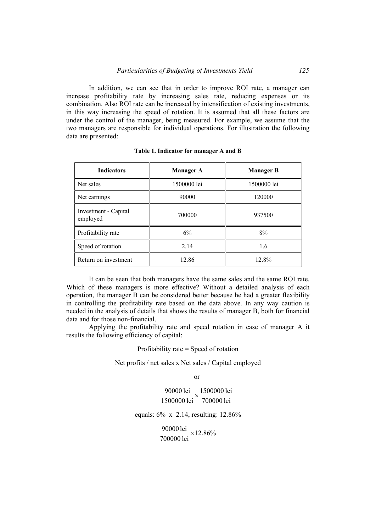In addition, we can see that in order to improve ROI rate, a manager can increase profitability rate by increasing sales rate, reducing expenses or its combination. Also ROI rate can be increased by intensification of existing investments, in this way increasing the speed of rotation. It is assumed that all these factors are under the control of the manager, being measured. For example, we assume that the two managers are responsible for individual operations. For illustration the following data are presented:

| <b>Indicators</b>                | <b>Manager A</b> | <b>Manager B</b> |
|----------------------------------|------------------|------------------|
| Net sales                        | 1500000 lei      | 1500000 lei      |
| Net earnings                     | 90000            | 120000           |
| Investment - Capital<br>employed | 700000           | 937500           |
| Profitability rate               | 6%               | 8%               |
| Speed of rotation                | 2.14             | 1.6              |
| Return on investment             | 12.86            | 12.8%            |

 It can be seen that both managers have the same sales and the same ROI rate. Which of these managers is more effective? Without a detailed analysis of each operation, the manager B can be considered better because he had a greater flexibility in controlling the profitability rate based on the data above. In any way caution is needed in the analysis of details that shows the results of manager B, both for financial data and for those non-financial.

 Applying the profitability rate and speed rotation in case of manager A it results the following efficiency of capital:

Profitability rate = Speed of rotation

Net profits / net sales x Net sales / Capital employed

or

700000 lei 1500000 lei 1500000 lei 90000 lei  $\times$ 

equals: 6% x 2.14, resulting: 12.86%

12.86% 700000 lei  $\frac{90000 \text{ lei}}{75.0000 \text{ Ti}} \times$